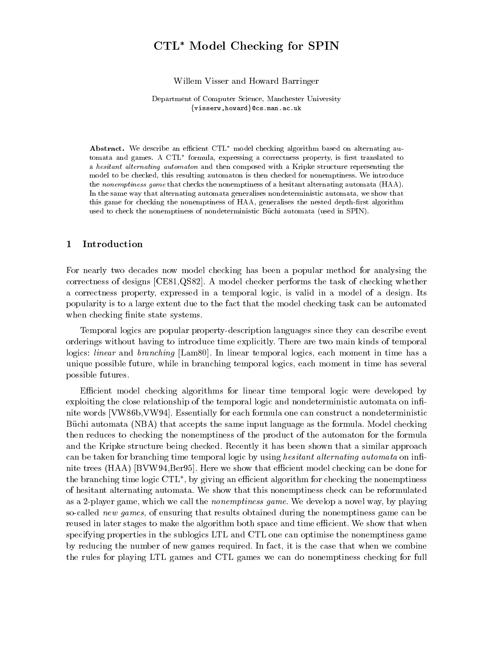# CTL Model Checking for SPIN

Willem Visser and Howard Barringer

Department of Computer Science, Manchester University  $\{visserw,howard\}$ @cs.man.ac.uk

Abstract. We describe an efficient CTL<sup>\*</sup> model checking algorithm based on alternating automata and games. A CTL<sup>\*</sup> formula, expressing a correctness property, is first translated to a hesitant alternating automaton and then composed with a Kripke structure representing the model to be checked, this resulting automaton is then checked for nonemptiness. We introduce the nonemptiness game that checks the nonemptiness of a hesitant alternating automata (HAA). In the same way that alternating automata generalises nondeterministic automata, we show that this game for checking the nonemptiness of HAA, generalises the nested depth-first algorithm used to check the nonemptiness of nondeterministic Buchi automata (used in SPIN).

### 1 Introduction

For nearly two decades now model checking has been a popular method for analysing the correctness of designs [CE81,QS82]. A model checker performs the task of checking whether a correctness property, expressed in a temporal logic, is valid in a model of a design. Its popularity is to a large extent due to the fact that the model checking task can be automated when checking finite state systems.

Temporal logics are popular property-description languages since they can describe event orderings without having to introduce time explicitly. There are two main kinds of temporal logics: linear and branching [Lam80]. In linear temporal logics, each moment in time has a unique possible future, while in branching temporal logics, each moment in time has several possible futures.

Efficient model checking algorithms for linear time temporal logic were developed by exploiting the close relationship of the temporal logic and nondeterministic automata on infinite words [VW86b,VW94]. Essentially for each formula one can construct a nondeterministic Buchi automata (NBA) that accepts the same input language as the formula. Model checking then reduces to checking the nonemptiness of the product of the automaton for the formula and the Kripke structure being checked. Recently it has been shown that a similar approach can be taken for branching time temporal logic by using *hesitant alternating automata* on infinite trees (HAA) [BVW94,Ber95]. Here we show that efficient model checking can be done for the branching time logic  $\cup$  I L , by giving an emclent algorithm for checking the nonemptiness of hesitant alternating automata. We show that this nonemptiness check can be reformulated as a 2-player game, which we call the nonemptiness game. We develop a novel way, by playing so-called new games, of ensuring that results obtained during the nonemptiness game can be reused in later stages to make the algorithm both space and time efficient. We show that when specifying properties in the sublogics LTL and CTL one can optimise the nonemptiness game by reducing the number of new games required. In fact, it is the case that when we combine the rules for playing LTL games and CTL games we can do nonemptiness checking for full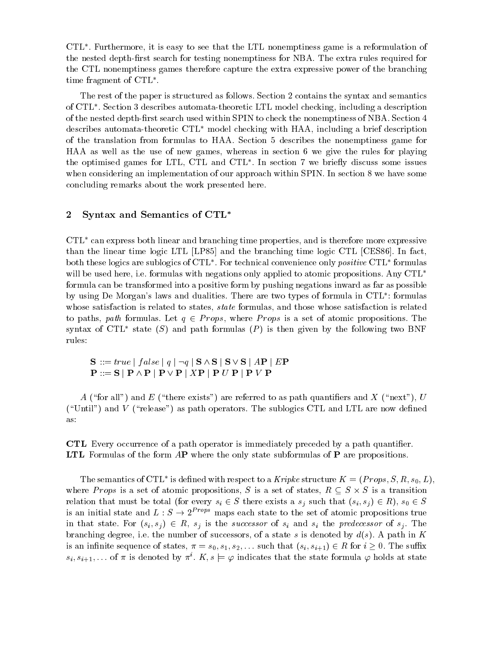CTL . Furthermore, it is easy to see that the LTL nonemptiness game is a reformulation of the nested depth-first search for testing nonemptiness for NBA. The extra rules required for the CTL nonemptiness games therefore capture the extra expressive power of the branching  $\mu$  and  $\mu$  and  $\mu$  and  $\mu$  and  $\mu$  and  $\mu$  and  $\mu$  and  $\mu$  and  $\mu$  and  $\mu$  and  $\mu$  and  $\mu$ 

The rest of the paper is structured as follows. Section 2 contains the syntax and semantics of CTL . Section 3 describes automata-theoretic LTL model checking, including a description of the nested depth-first search used within SPIN to check the nonemptiness of NBA. Section 4 describes automata-theoretic  $\text{CTL}^*$  model checking with HAA, including a brief description of the translation from formulas to HAA. Section 5 describes the nonemptiness game for HAA as well as the use of new games, whereas in section 6 we give the rules for playing the optimised games for  $LLE$ ,  $CLLE$  and  $CLLE$  . In section 7 we briefly discuss some issues when considering an implementation of our approach within SPIN. In section 8 we have some concluding remarks about the work presented here.

# 2 Syntax and Semantics of CTL

 $CTL^*$  can express both linear and branching time properties, and is therefore more expressive than the linear time logic LTL [LP85] and the branching time logic CTL [CES86]. In fact, both these logics are sublogics of  $CIT$  . For technical convenience only  $positive$   $CIT$  formulas will be used here, i.e. formulas with negations only applied to atomic propositions. Any CTL<sup>\*</sup> formula can be transformed into a positive form by pushing negations inward as far as possible by using De Morgan's laws and dualities. There are two types of formula in CTL<sup>\*</sup>: formulas whose satisfaction is related to states, *state* formulas, and those whose satisfaction is related to paths, path formulas. Let  $q \in Props$ , where Props is a set of atomic propositions. The syntax of CTL<sup>\*</sup> state (S) and path formulas (P) is then given by the following two BNF rules:  $S ::= true \mid false \mid q \mid \neg q \mid S \wedge S \mid S \vee S \mid AP \mid EP$ 

$$
\begin{array}{l} \mathbf{S} \ ::= true \mid false \mid q \mid \neg q \mid \mathbf{S} \wedge \mathbf{S} \mid \mathbf{S} \vee \mathbf{S} \mid A\mathbf{P} \mid E\mathbf{P} \\ \mathbf{P} ::= \mathbf{S} \mid \mathbf{P} \wedge \mathbf{P} \mid \mathbf{P} \vee \mathbf{P} \mid X\mathbf{P} \mid \mathbf{P} \ U \ \mathbf{P} \mid \mathbf{P} \ V \ \mathbf{P} \end{array}
$$

A ("for all") and E ("there exists") are referred to as path quantifiers and X ("next"), U ("Until") and V ("release") as path operators. The sublogics CTL and LTL are now defined as:

CTL Every occurrence of a path operator is immediately preceded by a path quantier. LTL Formulas of the form AP where the only state subformulas of P are propositions.

The semantics of CTL is defined with respect to a *Kripke* structure  $K = (P \textit{rops}, S, K, s_0, L)$ , where *Props* is a set of atomic propositions,  $S$  is a set of states,  $R \subseteq S \times S$  is a transition relation that must be total (for every  $s_i \in S$  there exists a  $s_j$  such that  $(s_i, s_j) \in R$ ),  $s_0 \in S$ is an initial state and  $L : S \to 2^{Props}$  maps each state to the set of atomic propositions true in that state. For  $(s_i, s_j) \in R$ ,  $s_j$  is the successor of  $s_i$  and  $s_j$  the predecessor of  $s_j$ . The branching degree, i.e. the number of successors, of a state s is denoted by  $d(s)$ . A path in K is an infinite sequence of states,  $\pi = s_0, s_1, s_2, \ldots$  such that  $(s_i, s_{i+1}) \in R$  for  $i \geq 0$ . The suffix  $s_i, s_{i+1}, \ldots$  of  $\pi$  is denoted by  $\pi^i$ .  $K, s \models \varphi$  indicates that the state formula  $\varphi$  holds at state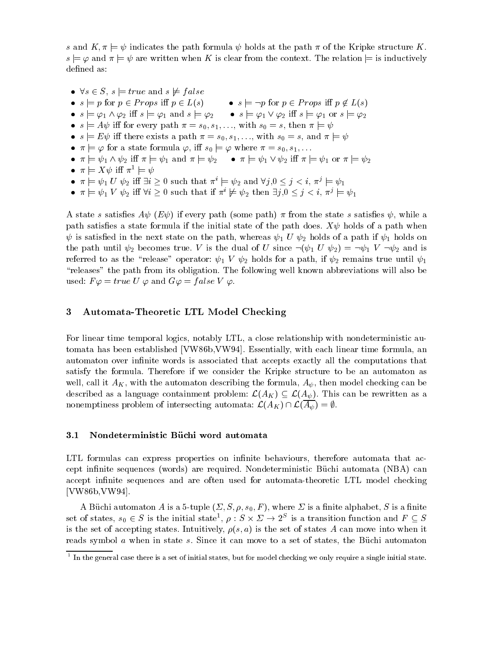s and  $K, \pi \models \psi$  indicates the path formula  $\psi$  holds at the path  $\pi$  of the Kripke structure K.  $s \models \varphi$  and  $\pi \models \psi$  are written when K is clear from the context. The relation  $\models$  is inductively defined as:

•  $\vee s \in S$ ,  $s \models true$  and  $s \not\models false$ •  $s \models p$  for  $p \in Props$  iff  $p \in L(s)$ •  $s \models \neg p$  for  $p \in Props$  iff  $p \notin L(s)$  $\bullet \ \ s \models \varphi_1 \wedge \varphi_2 \ \text{in} \ s \models \varphi_1 \ \text{and} \ s \models \varphi_2 \qquad \bullet \ \ s \models \varphi_1 \vee \varphi_2 \ \text{in} \ s \models \varphi_1 \ \text{or} \ s \models \varphi_2$ •  $s \models A \psi$  in for every path  $\pi = s_0, s_1, \ldots$ , with  $s_0 = s$ , then  $\pi \models \psi$ •  $s \models E \psi$  in there exists a path  $\pi = s_0, s_1, \ldots$ , with  $s_0 = s$ , and  $\pi \models \psi$  $\bullet \ \pi \models \varphi$  for a state formula  $\varphi$ , iff  $s_0 \models \varphi$  where  $\pi = s_0, s_1, \ldots$  $\bullet$   $\pi \models \psi_1 \wedge \psi_2$  in  $\pi \models \psi_1$  and  $\pi \models \psi_2$   $\bullet$   $\pi \models \psi_1 \vee \psi_2$  in  $\pi \models \psi_1$  or  $\pi \models \psi_2$  $\bullet \ \pi \models \Lambda \psi \ \text{III} \ \pi^{\mathbb{-}} \models \psi$ •  $\pi \models \psi_1 \cup \psi_2$  in  $\exists i \geq 0$  such that  $\pi \models \psi_2$  and  $\forall j, 0 \leq j \leq i$ ,  $\pi \in \psi_1$  $\bullet \pi \models \psi_1 \lor \psi_2$  in  $\forall i \geq 0$  such that if  $\pi^* \not\models \psi_2$  then  $\exists j,0 \leq j \leq i, \pi^j \models \psi_1$ 

A state s satisfies  $A\psi$  (E $\psi$ ) if every path (some path)  $\pi$  from the state s satisfies  $\psi$ , while a path satisfies a state formula if the initial state of the path does.  $X\psi$  holds of a path when  $\psi$  is satisfied in the next state on the path, whereas  $\psi_1$  U  $\psi_2$  holds of a path if  $\psi_1$  holds on the path until  $\psi_2$  becomes true. V is the dual of U since  $\neg(\psi_1 \ U \ \psi_2) = \neg \psi_1 \ V \ \neg \psi_2$  and is referred to as the "release" operator:  $\psi_1$  V  $\psi_2$  holds for a path, if  $\psi_2$  remains true until  $\psi_1$ \releases" the path from its obligation. The following well known abbreviations will also be used:  $F\varphi = true U \varphi$  and  $G\varphi = false V \varphi$ .

# 3 Automata-Theoretic LTL Model Checking

For linear time temporal logics, notably LTL, a close relationship with nondeterministic automata has been established [VW86b,VW94]. Essentially, with each linear time formula, an automaton over infinite words is associated that accepts exactly all the computations that satisfy the formula. Therefore if we consider the Kripke structure to be an automaton as we can all it AK, with the automaton describing the formula, A , then model checking can be checking can be checking can be considered checking can be considered checking can be considered checking can be considered check satisfy the formula. Therefore if we consider the Kripke structure to be an automaton as<br>well, call it  $A_K$ , with the automaton describing the formula,  $A_{\psi}$ , then model checking can be<br>described as a language containme described as a language containment problem:  $\mathcal{L}(A_K) \subseteq \mathcal{L}(A_{\psi})$ . This can be rewritten as a nonemptiness problem of intersecting automata:  $\mathcal{L}(A_K) \cap \mathcal{L}(A_{\psi}) = \emptyset$ .

### 3.1 Nondeterministic Büchi word automata

LTL formulas can express properties on infinite behaviours, therefore automata that accept innite sequences (words) are required. Nondeterministic Buchi automata (NBA) can accept infinite sequences and are often used for automata-theoretic LTL model checking [VW86b,VW94].

A Büchi automaton A is a 5-tuple  $(\Sigma, S, \rho, s_0, F)$ , where  $\Sigma$  is a finite alphabet, S is a finite set of states,  $s_0 \in S$  is the initial state  $\theta$  :  $S \times Z \rightarrow Z^-$  is a transition function and  $F \subseteq S$ is the set of accepting states. Intuitively,  $\rho(s, a)$  is the set of states A can move into when it reads symbol a when in state s. Since it can move to a set of states, the Büchi automaton

 $^\circ$  In the general case there is a set of initial states, but for model checking we only require a single initial state.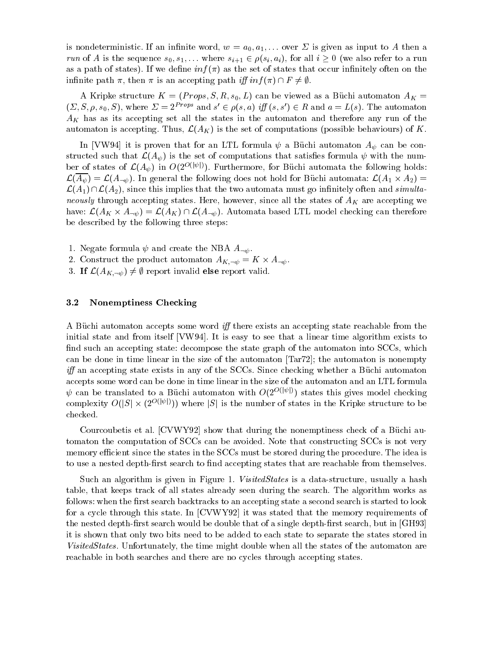is nondeterministic. If an infinite word,  $w = a_0, a_1, \ldots$  over  $\Sigma$  is given as input to A then a run of A is the sequence  $s_0, s_1,...$  where  $s_{i+1} \in \rho(s_i, a_i)$ , for all  $i \geq 0$  (we also refer to a run as a path of states). If we define  $inf(\pi)$  as the set of states that occur infinitely often on the infinite path  $\pi$ , then  $\pi$  is an accepting path iff  $inf(\pi) \cap F \neq \emptyset$ .

A Kripke structure  $K = (Props, S, R, s_0, L)$  can be viewed as a Büchi automaton  $A_K =$  $(2, 5, \rho, s_0, 5)$ , where  $\Delta = 2^{p+2}r^2$  and  $s \in \rho(s, a)$  if  $(s, s) \in R$  and  $a = L(s)$ . The automaton  $A_K$  has as its accepting set all the states in the automaton and therefore any run of the automaton is accepting. Thus,  $\mathcal{L}(A_K)$  is the set of computations (possible behaviours) of K.

In [VW94] it is proven that for an LTL formula  $\psi$  a Büchi automaton  $A_{\psi}$  can be constructed such that  $\mathcal{L}(A_{\psi})$  is the set of computations that satisfies formula  $\psi$  with the number of states of  $\mathcal{L}(A_{\psi})$  in  $O(2^{O(|\psi|)})$ . Furthermore, for Büchi automata the following holds:  $\mathcal{L}(A_\psi)=\mathcal{L}(A_{\neg\psi}).$  In general the following does not hold for Buchi automata:  $\mathcal{L}(A_1\times A_2)=0$ ber of states of  $\mathcal{L}(A_{\psi})$  in  $O(2^{O(|\psi|)})$ . Furthermore, for Büchi automata the following holds:<br>  $\mathcal{L}(\overline{A_{\psi}}) = \mathcal{L}(A_{\neg \psi})$ . In general the following does not hold for Büchi automata:  $\mathcal{L}(A_1 \times A_2) =$ <br>  $\mathcal{L$ neously through accepting states. Here, however, since all the states of  $A_K$  are accepting we  $\mathcal{L}(A_1) \cap \mathcal{L}(A_2)$ , since this implies that the two automata must go infinitely often and simulta-<br>neously through accepting states. Here, however, since all the states of  $A_K$  are accepting we<br>have:  $\mathcal{L}(A_K \times A_{\neg$ be described by the following three steps:

1. Negate formula  $\psi$  and create the NBA  $A_{\neg \psi}$ .

- 2. Construct the product automaton  $A_{K,\neg\psi} = \Lambda \times A_{\neg\psi}$ .
- 3. If  $\mathcal{L}(A_{K,\neg\psi}) \neq \emptyset$  report invalid else report valid.

# 3.2 Nonemptiness Checking

A Büchi automaton accepts some word  $iff$  there exists an accepting state reachable from the initial state and from itself [VW94]. It is easy to see that a linear time algorithm exists to find such an accepting state: decompose the state graph of the automaton into SCCs, which can be done in time linear in the size of the automaton [Tar72]; the automaton is nonempty  $iff$  an accepting state exists in any of the SCCs. Since checking whether a Buchi automaton accepts some word can be done in time linear in the size of the automaton and an LTL formula  $w$  can be translated to a Duchi automaton with O(2O) is states this gives model checking accepts some word can be done in<br>  $\psi$  can be translated to a Büchi<br>
complexity  $O(|S| \times (2^{O(|\psi|)}))$  wh complexity  $O(|S| \times (2^{O(|\psi|)}))$  where |S| is the number of states in the Kripke structure to be checked.

Courcoubetis et al. [CVWY92] show that during the nonemptiness check of a Buchi automaton the computation of SCCs can be avoided. Note that constructing SCCs is not very memory efficient since the states in the SCCs must be stored during the procedure. The idea is to use a nested depth-first search to find accepting states that are reachable from themselves.

Such an algorithm is given in Figure 1. VisitedStates is a data-structure, usually a hash table, that keeps track of all states already seen during the search. The algorithm works as follows: when the first search backtracks to an accepting state a second search is started to look for a cycle through this state. In [CVWY92] it was stated that the memory requirements of the nested depth-first search would be double that of a single depth-first search, but in [GH93] it is shown that only two bits need to be added to each state to separate the states stored in VisitedStates. Unfortunately, the time might double when all the states of the automaton are reachable in both searches and there are no cycles through accepting states.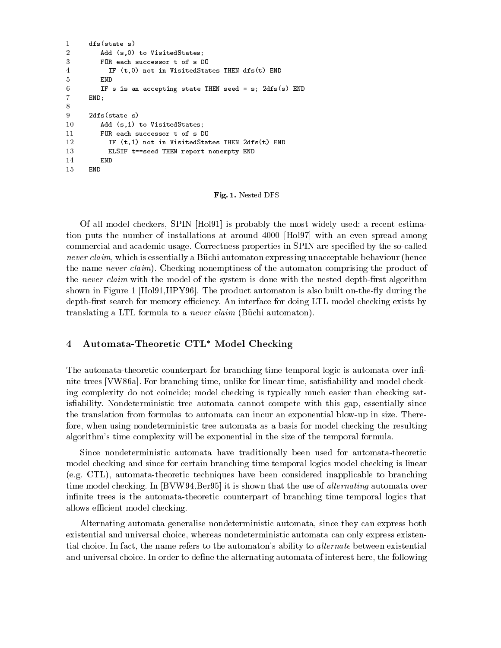```
1 december 1986 - 1987 - 1988 - 1989 - 1989 - 1989 - 1989 - 1989 - 1989 - 1989 - 1989 - 1989 - 1989 - 1989 - 1
\overline{2}Add (s,0) to VisitedStates;
3
          FOR each successor t of s DO
4 IF (t,0) not in VisitedStates THEN dfs(t) END
          END
6 IF s is an accepting state THEN seed = s; 2dfs(s) END
7 END;
8
9 2dfs(state s)
10Add (s,1) to VisitedStates;
11 FOR each successor t of s DO
12 IF (t,1) not in VisitedStates THEN 2dfs(t) END
13
            ELSIF t==seed THEN report nonempty END
14
          END
       END
```
Fig. 1. Nested DFS

Of all model checkers, SPIN [Hol91] is probably the most widely used: a recent estimation puts the number of installations at around 4000 [Hol97] with an even spread among commercial and academic usage. Correctness properties in SPIN are specified by the so-called never claim, which is essentially a Büchi automaton expressing unacceptable behaviour (hence the name never claim). Checking nonemptiness of the automaton comprising the product of the never claim with the model of the system is done with the nested depth-first algorithm shown in Figure 1  $[Hol91, HPY96]$ . The product automaton is also built on-the-fly during the depth-first search for memory efficiency. An interface for doing LTL model checking exists by translating a LTL formula to a *never claim* (Büchi automaton).

# 4 Automata-Theoretic CTL<sup>\*</sup> Model Checking

The automata-theoretic counterpart for branching time temporal logic is automata over infinite trees [VW86a]. For branching time, unlike for linear time, satisability and model checking complexity do not coincide; model checking is typically much easier than checking satis fiability. Nondeterministic tree automata cannot compete with this gap, essentially since the translation from formulas to automata can incur an exponential blow-up in size. Therefore, when using nondeterministic tree automata as a basis for model checking the resulting algorithm's time complexity will be exponential in the size of the temporal formula.

Since nondeterministic automata have traditionally been used for automata-theoretic model checking and since for certain branching time temporal logics model checking is linear (e.g. CTL), automata-theoretic techniques have been considered inapplicable to branching time model checking. In [BVW94,Ber95] it is shown that the use of *alternating* automata over infinite trees is the automata-theoretic counterpart of branching time temporal logics that allows efficient model checking.

Alternating automata generalise nondeterministic automata, since they can express both existential and universal choice, whereas nondeterministic automata can only express existential choice. In fact, the name refers to the automaton's ability to alternate between existential and universal choice. In order to define the alternating automata of interest here, the following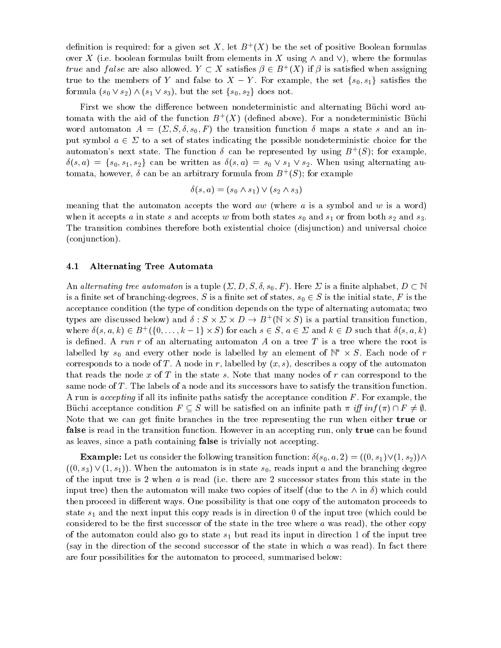definition is required: for a given set  $A$  , let  $B^+(\overline{A})$  be the set of positive Boolean formulas over X (i.e. boolean formulas built from elements in X using  $\wedge$  and  $\vee$ ), where the formulas true and fulse are also allowed.  $Y \subset A$  satismes  $\beta \in B^+(A)$  if  $\beta$  is satismed when assigning true to the members of Y and false to  $X - Y$ . For example, the set  $\{s_0, s_1\}$  satisfies the formula  $(s_0 \vee s_2) \wedge (s_1 \vee s_3)$ , but the set  $\{s_0, s_2\}$  does not.

First we show the difference between nondeterministic and alternating Büchi word automata with the aid of the function  $D^+(A)$  (defined above). For a nondeterministic Duchi word automaton  $A = (\Sigma, S, \delta, s_0, F)$  the transition function  $\delta$  maps a state s and an input symbol  $a \in \Sigma$  to a set of states indicating the possible nondeterministic choice for the automaton's next state. The function  $\delta$  can be represented by using  $B^+(S)$ ; for example,  $\delta(s, a) = \{s_0, s_1, s_2\}$  can be written as  $\delta(s, a) = s_0 \vee s_1 \vee s_2$ . When using alternating automata, nowever,  $\sigma$  can be an arbitrary formula from  $D^+(\mathcal{S})$ ; for example

$$
\delta(s, a) = (s_0 \wedge s_1) \vee (s_2 \wedge s_3)
$$

meaning that the automaton accepts the word  $aw$  (where a is a symbol and w is a word) when it accepts a in state s and accepts w from both states  $s_0$  and  $s_1$  or from both  $s_2$  and  $s_3$ . The transition combines therefore both existential choice (disjunction) and universal choice (conjunction).

# 4.1 Alternating Tree Automata

An alternating tree automaton is a tuple  $(\Sigma, D, S, \delta, s_0, F)$ . Here  $\Sigma$  is a finite alphabet,  $D \subset \mathbb{N}$ is a finite set of branching-degrees, S is a finite set of states,  $s_0 \in S$  is the initial state, F is the acceptance condition (the type of condition depends on the type of alternating automata; two types are discussed below) and  $\theta : \mathcal{S} \times \mathcal{D} \times \mathcal{D} \to \mathcal{B}^+$  (iv  $\times$   $\mathcal{S}$ ) is a partial transition function, where  $\sigma(s, a, \kappa) \in B_+$  ({ $0, \ldots, \kappa-1$ }  $\times$   $S$ ) for each  $s \in S$ ,  $a \in \mathbb{Z}$  and  $\kappa \in D$  such that  $\sigma(s, a, \kappa)$ (the type of condition depend<br>elow) and  $\delta: S \times \Sigma \times D \to E$ <br> $(\{0,\ldots,k-1\} \times S)$  for each s is defined. A run r of an alternating automaton A on a tree  $T$  is a tree where the root is labelled by  $s_0$  and every other node is labelled by an element of  $\mathbb N^+ \times S.$  Each node of  $r$ corresponds to a node of T. A node in r, labelled by  $(x, s)$ , describes a copy of the automaton that reads the node x of T in the state s. Note that many nodes of  $r$  can correspond to the same node of T. The labels of a node and its successors have to satisfy the transition function. A run is *accepting* if all its infinite paths satisfy the acceptance condition  $F$ . For example, the Buchi acceptance condition  $F \subseteq S$  will be satisfied on an infinite path  $\pi$  iff  $inf(\pi) \cap F \neq \emptyset$ . Note that we can get finite branches in the tree representing the run when either true or false is read in the transition function. However in an accepting run, only true can be found as leaves, since a path containing false is trivially not accepting.

**Example:** Let us consider the following transition function:  $\delta(s_0, a, 2) = ((0, s_1) \vee (1, s_2)) \wedge$  $((0, s_3) \vee (1, s_1))$ . When the automaton is in state  $s_0$ , reads input a and the branching degree of the input tree is 2 when  $a$  is read (i.e. there are 2 successor states from this state in the input tree) then the automaton will make two copies of itself (due to the  $\wedge$  in  $\delta$ ) which could then proceed in different ways. One possibility is that one copy of the automaton proceeds to state  $s_1$  and the next input this copy reads is in direction 0 of the input tree (which could be considered to be the first successor of the state in the tree where  $a$  was read), the other copy of the automaton could also go to state  $s_1$  but read its input in direction 1 of the input tree (say in the direction of the second successor of the state in which a was read). In fact there are four possibilities for the automaton to proceed, summarised below: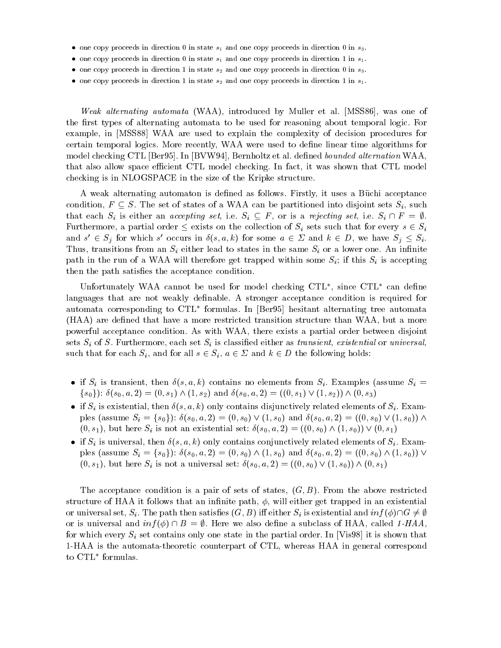- $\bullet$  one copy proceeds in direction  $0$  in state  $s_1$  and one copy proceeds in direction 0 in  $s_3.$
- $\bullet$  one copy proceeds in direction  $0$  in state  $s_1$  and one copy proceeds in direction 1 in  $s_1.$
- $\bullet$  one copy proceeds in direction 1 in state  $s_2$  and one copy proceeds in direction 0 in  $s_3.$
- $\bullet$  one copy proceeds in direction 1 in state  $s_2$  and one copy proceeds in direction 1 in  $s_1.$

Weak alternating automata (WAA), introduced by Muller et al. [MSS86], was one of the first types of alternating automata to be used for reasoning about temporal logic. For example, in [MSS88] WAA are used to explain the complexity of decision procedures for certain temporal logics. More recently, WAA were used to define linear time algorithms for model checking CTL [Ber95]. In [BVW94], Bernholtz et al. defined bounded alternation WAA. that also allow space efficient CTL model checking. In fact, it was shown that CTL model checking is in NLOGSPACE in the size of the Kripke structure.

A weak alternating automaton is defined as follows. Firstly, it uses a Büchi acceptance condition,  $F \subseteq S$ . The set of states of a WAA can be partitioned into disjoint sets  $S_i$ , such that each  $S_i$  is either an *accepting set*, i.e.  $S_i \subseteq F$ , or is a *rejecting set*, i.e.  $S_i \cap F = \emptyset$ .<br>Furthermore, a partial order  $\leq$  exists on the collection of  $S_i$  sets such that for every  $s \in S_i$ and  $s \in S_i$  for which s occurs in  $o(s, a, \kappa)$  for some  $a \in \mathcal{Z}$  and  $\kappa \in D$ , we have  $S_i \leq S_i$ . Thus, transitions from an  $S_i$  either lead to states in the same  $S_i$  or a lower one. An infinite path in the run of a WAA will therefore get trapped within some  $S_i$ ; if this  $S_i$  is accepting then the path satisfies the acceptance condition.

Unfortunately WAA cannot be used for model checking CTL , since CTL can dene languages that are not weakly definable. A stronger acceptance condition is required for automata corresponding to CTL formulas. In [Ber95] hesitant alternating tree automata (HAA) are dened that have a more restricted transition structure than WAA, but a more powerful acceptance condition. As with WAA, there exists a partial order between disjoint sets  $S_i$  of S. Furthermore, each set  $S_i$  is classified either as transient, existential or universal. such that for each  $S_i$ , and for all  $s \in S_i$ ,  $a \in \Sigma$  and  $k \in D$  the following holds:

- If  $S_i$  is transient, then  $o(s, a, \kappa)$  contains no elements from  $S_i$ . Examples (assume  $S_i =$  $\{s_0\}$ :  $\delta(s_0, a, 2) = (0, s_1) \wedge (1, s_2)$  and  $\delta(s_0, a, 2) = ((0, s_1) \vee (1, s_2)) \wedge (0, s_3)$
- $\bullet$  if  $S_i$  is existential, then  $o(s, a, \kappa)$  only contains disjunctively related elements of  $S_i$ . Examples (assume  $S_i = \{s_0\}$ ):  $\delta(s_0, a, 2) = (0, s_0) \vee (1, s_0)$  and  $\delta(s_0, a, 2) = ((0, s_0) \vee (1, s_0)) \wedge$  $(0, s_1)$ , but here  $S_i$  is not an existential set:  $\delta(s_0, a, 2) = ((0, s_0) \wedge (1, s_0)) \vee (0, s_1)$
- $\bullet$  if  $S_i$  is universal, then  $o(s, a, \kappa)$  only contains conjunctively related elements of  $S_i$ . Examples (assume  $S_i = \{s_0\}$ ):  $\delta(s_0, a, 2) = (0, s_0) \wedge (1, s_0)$  and  $\delta(s_0, a, 2) = ((0, s_0) \wedge (1, s_0)) \vee$  $(0, s_1)$ , but here  $S_i$  is not a universal set:  $\delta(s_0, a, 2) = ((0, s_0) \vee (1, s_0)) \wedge (0, s_1)$

The acceptance condition is a pair of sets of states,  $(G, B)$ . From the above restricted structure of HAA it follows that an infinite path,  $\phi$ , will either get trapped in an existential or universal set,  $S_i$ . The path then satisfies  $(G, B)$  iff either  $S_i$  is existential and  $inf(\phi) \cap G \neq \emptyset$ or is universal and  $inf(\phi) \cap B = \emptyset$ . Here we also define a subclass of HAA, called 1-HAA, for which every  $S_i$  set contains only one state in the partial order. In [Vis98] it is shown that 1-HAA is the automata-theoretic counterpart of CTL, whereas HAA in general correspond to CTL formulas.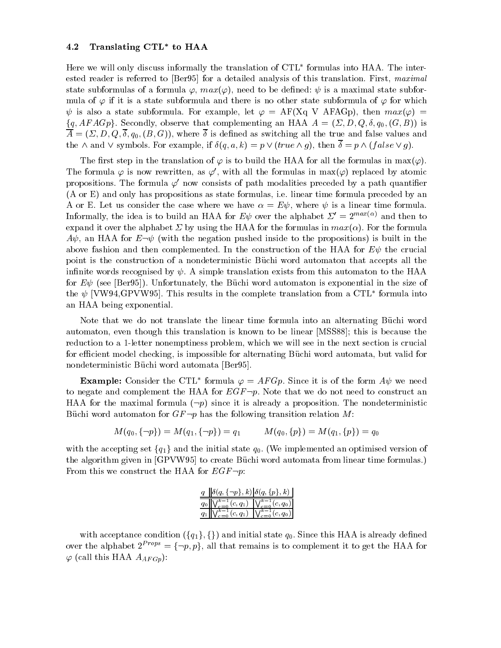### 4.2 Translating CTL to HAA

Here we will only discuss informally the translation of  $\mathop{\rm CLL}$  formulas into HAA. The interested reader is referred to [Ber95] for a detailed analysis of this translation. First, maximal state subformulas of a formula  $\varphi$ ,  $max(\varphi)$ , need to be defined:  $\psi$  is a maximal state subformula of  $\varphi$  if it is a state subformula and there is no other state subformula of  $\varphi$  for which  $\psi$  is also a state subformula. For example, let  $\varphi = AF(Xq V AFAGp)$ , then  $max(\varphi)$  =  $\{q, Ar A G \}$ . Secondly, observe that complementing an HAA  $A = ( \triangle, D, Q, o, q_0, (G, B) )$  is  $\Lambda$  and as switching as switching as switching as switching as switching all the true and false values and false values and false values and false values and false values and false values and false values and false value the  $\wedge$  and  $\vee$  symbols. For example, if  $\delta(q, a, k) = p \vee (true \wedge q)$ , then  $\overline{\delta} = p \wedge (false \vee q)$ .

The first step in the translation of  $\varphi$  is to build the HAA for all the formulas in max( $\varphi$ ). The formula  $\varphi$  is now rewritten, as  $\varphi'$ , with all the formulas in max $(\varphi)$  replaced by atomic propositions. The formula  $\varphi'$  now consists of path modalities preceded by a path quantifier (A or E) and only has propositions as state formulas, i.e. linear time formula preceded by an A or E. Let us consider the case where we have  $\alpha = E \psi$ , where  $\psi$  is a linear time formula. Informally, the idea is to build an HAA for  $E\psi$  over the alphabet  $\Sigma' = 2^{max(\alpha)}$  and then to expand it over the alphabet  $\Sigma$  by using the HAA for the formulas in  $max(\alpha)$ . For the formula  $A\psi$ , an HAA for  $E\neg\psi$  (with the negation pushed inside to the propositions) is built in the above fashion and then complemented. In the construction of the HAA for  $E\psi$  the crucial point is the construction of a nondeterministic Buchi word automaton that accepts all the infinite words recognised by  $\psi$ . A simple translation exists from this automaton to the HAA for  $E\psi$  (see [Ber95]). Unfortunately, the Büchi word automaton is exponential in the size of the  $\psi$  TV W94,GPV W95]. This results in the complete translation from a CTL -formula into an HAA being exponential.

Note that we do not translate the linear time formula into an alternating Buchi word automaton, even though this translation is known to be linear [MSS88]; this is because the reduction to a 1-letter nonemptiness problem, which we will see in the next section is crucial for efficient model checking, is impossible for alternating Büchi word automata, but valid for nondeterministic Büchi word automata [Ber95].

**Example:** Consider the CTL formula  $\varphi = AF Gp$ . Since it is of the form  $A\psi$  we need to negate and complement the HAA for  $EGF \neg p$ . Note that we do not need to construct an HAA for the maximal formula  $(-p)$  since it is already a proposition. The nondeterministic Büchi word automaton for  $GF\neg p$  has the following transition relation M:

$$
M(q_0,\{-p\})=M(q_1,\{-p\})=q_1\qquad\quad M(q_0,\{p\})=M(q_1,\{p\})=q_0
$$

with the accepting set  $\{q_1\}$  and the initial state  $q_0$ . (We implemented an optimised version of the algorithm given in [GPVW95] to create Büchi word automata from linear time formulas.) From this we construct the HAA for  $EGF\neg p$ :

| $q    \delta(q, \{\neg p\}, k)   \delta(q, \{p\}, k)$               |  |
|---------------------------------------------------------------------|--|
| $q_0 \ \bigvee_{c=0}^{k-1} (c,q_1) \ \bigvee_{c=0}^{k-1} (c,q_0)\ $ |  |
| $q_1\ \bigvee_{c=0}^{k-1}(c,q_1)\ \bigvee_{c=0}^{k-1}(c,q_0)\ $     |  |

with acceptance condition  $(\{q_1\},\{\})$  and initial state  $q_0$ . Since this HAA is already defined over the alphabet  $2^{Props} = \{\neg p, p\}$ , all that remains is to complement it to get the HAA for  $\varphi$  (call this HAA  $A_{AFGp}$ ):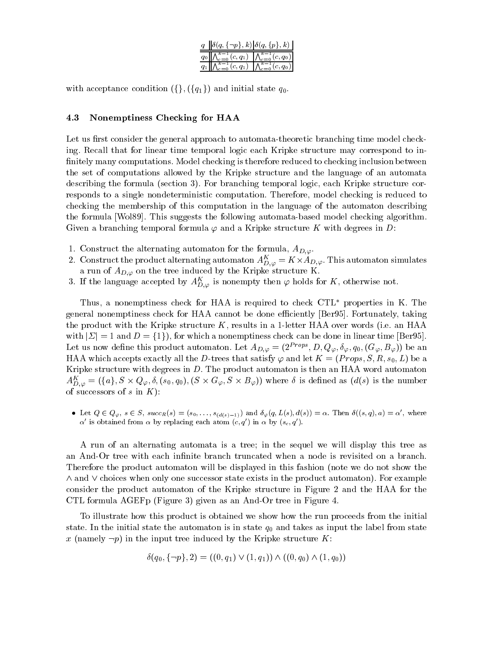| $q \ \delta(q, \{\neg p\}, k)\ \delta(q, \{p\}, k)\ $                                       |  |
|---------------------------------------------------------------------------------------------|--|
| $q_0$ $\left \bigwedge_{c=0}^{k-1}(c,q_1)\right  \left \bigwedge_{c=0}^{k-1}(c,q_0)\right $ |  |
| $q_1\ \bigwedge_{c=0}^{k-1}(c,q_1)\ \bigwedge_{c=0}^{k-1}(c,q_0)\ $                         |  |

with acceptance condition  $(\{\}, (\{q_1\})$  and initial state  $q_0$ .

### 4.3 Nonemptiness Checking for HAA

Let us first consider the general approach to automata-theoretic branching time model checking. Recall that for linear time temporal logic each Kripke structure may correspond to in finitely many computations. Model checking is therefore reduced to checking inclusion between the set of computations allowed by the Kripke structure and the language of an automata describing the formula (section 3). For branching temporal logic, each Kripke structure corresponds to a single nondeterministic computation. Therefore, model checking is reduced to checking the membership of this computation in the language of the automaton describing the formula [Wol89]. This suggests the following automata-based model checking algorithm. Given a branching temporal formula  $\varphi$  and a Kripke structure K with degrees in D:

- 1. Construct the alternating automaton for the formula,  $A_{D,\varphi}$ .
- 2. Construct the product alternating automaton  $A_{D,\varphi}^{\perp} = \mathbf{K} \times A_{D,\varphi}$ . This automaton simulates a run of  $A_{D,\varphi}$  on the tree induced by the Kripke structure K.
- 3. It the language accepted by  $A_{D,\varphi}^\omega$  is nonempty then  $\varphi$  holds for  $K,$  otherwise not.

Thus, a nonemptiness check for HAA is required to check  $\text{CTL}^*$  properties in K. The general nonemptiness check for HAA cannot be done efficiently [Ber95]. Fortunately, taking the product with the Kripke structure  $K$ , results in a 1-letter HAA over words (i.e. an HAA with  $|\Sigma| = 1$  and  $D = \{1\}$ , for which a nonemptiness check can be done in linear time [Ber95]. Let us now define this product automaton. Let  $A_{D,\varphi} = (2^{Props}, D, Q_{\varphi}, \delta_{\varphi}, q_0, (G_{\varphi}, B_{\varphi}))$  be an HAA which accepts exactly all the D-trees that satisfy  $\varphi$  and let  $K = (Props, S, R, s_0, L)$  be a Kripke structure with degrees in  $D$ . The product automaton is then an HAA word automaton  $A_{D,\varphi}^{\perp} = (\{a\},S \times Q_\varphi, o, (s_0,q_0), (S \times G_\varphi, S \times B_\varphi))$  where *o* is defined as  $(a(s)$  is the number of successors of s in  $K$ ):

Let  $Q \in Q_{\varphi}, s \in S$ ,  $succ_R(s) = (s_0, \ldots, s_{(d(s)-1)})$  and  $\delta_{\varphi}(q, L(s), d(s)) = \alpha$ . Then  $\delta((s, q), a) = \alpha'$ , where  $\alpha'$  is obtained from  $\alpha$  by replacing each atom  $(c, q')$  in  $\alpha$  by  $(s_c, q')$ .

A run of an alternating automata is a tree; in the sequel we will display this tree as an And-Or tree with each infinite branch truncated when a node is revisited on a branch. Therefore the product automaton will be displayed in this fashion (note we do not show the  $\wedge$  and  $\vee$  choices when only one successor state exists in the product automaton). For example consider the product automaton of the Kripke structure in Figure 2 and the HAA for the CTL formula AGEFp (Figure 3) given as an And-Or tree in Figure 4.

To illustrate how this product is obtained we show how the run proceeds from the initial state. In the initial state the automaton is in state  $q_0$  and takes as input the label from state x (namely  $\neg p$ ) in the input tree induced by the Kripke structure K:

$$
\delta(q_0, \{\neg p\}, 2) = ((0, q_1) \vee (1, q_1)) \wedge ((0, q_0) \wedge (1, q_0))
$$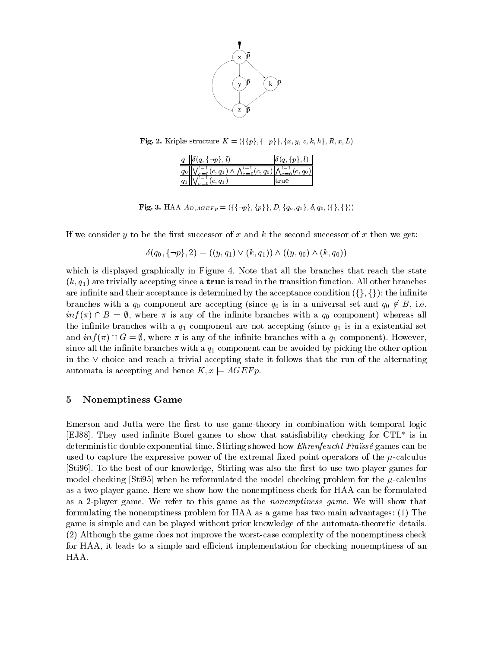

**Fig. 2.** Kripke structure  $K = (\{p\}, \{\neg p\}\}, \{x, y, z, k, h\}, R, x, L)$ 

| $q \parallel \delta(q, \{-p\}, l)$                                                                           | $\delta(q, \{p\}, l)$ |  |
|--------------------------------------------------------------------------------------------------------------|-----------------------|--|
| $q_0 \ \bigvee_{c=0}^{l-1} (c,q_1) \wedge \bigwedge_{c=0}^{l-1} (c,q_0) \bigwedge_{c=0}^{l-1} (c,q_0) \big $ |                       |  |
| $q_1\ \bigvee_{c=0}^{i-1}(c,q_1)$                                                                            |                       |  |

**Fig. 3.** HAA  $A_{D,AGEFP} = (\{\{\neg p\}, \{p\}\}, D, \{q_o, q_1\}, \delta, q_0, (\{\}, \{\}))$ 

If we consider y to be the first successor of x and k the second successor of x then we get:

$$
\delta(q_0, \{\neg p\}, 2) = ((y, q_1) \vee (k, q_1)) \wedge ((y, q_0) \wedge (k, q_0))
$$

which is displayed graphically in Figure 4. Note that all the branches that reach the state  $(k, q_1)$  are trivially accepting since a **true** is read in the transition function. All other branches are infinite and their acceptance is determined by the acceptance condition  $(\{\},\{\})$ : the infinite branches with a  $q_0$  component are accepting (since  $q_0$  is in a universal set and  $q_0 \notin B$ , i.e.  $inf(\pi) \cap B = \emptyset$ , where  $\pi$  is any of the infinite branches with a  $q_0$  component) whereas all the infinite branches with a  $q_1$  component are not accepting (since  $q_1$  is in a existential set and  $inf(\pi) \cap G = \emptyset$ , where  $\pi$  is any of the infinite branches with a  $q_1$  component). However, since all the infinite branches with a  $q_1$  component can be avoided by picking the other option in the  $\vee$ -choice and reach a trivial accepting state it follows that the run of the alternating automata is accepting and hence  $K, x \models AGE F p$ .

# 5 Nonemptiness Game

Emerson and Jutla were the first to use game-theory in combination with temporal logic [EJ88]. They used innite Borel games to show that satisability checking for CTL is in deterministic double exponential time. Stirling showed how *Ehrenfeucht-Fraissé* games can be used to capture the expressive power of the extremal fixed point operators of the  $\mu$ -calculus [Sti96]. To the best of our knowledge, Stirling was also the first to use two-player games for model checking [Sti95] when he reformulated the model checking problem for the  $\mu$ -calculus as a two-player game. Here we show how the nonemptiness check for HAA can be formulated as a 2-player game. We refer to this game as the nonemptiness game. We will show that formulating the nonemptiness problem for HAA as a game has two main advantages: (1) The game is simple and can be played without prior knowledge of the automata-theoretic details. (2) Although the game does not improve the worst-case complexity of the nonemptiness check for HAA, it leads to a simple and efficient implementation for checking nonemptiness of an HAA.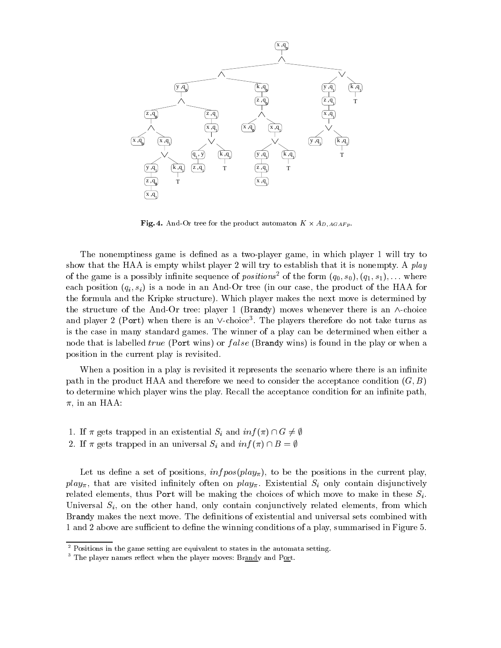

**Fig. 4.** And-Or tree for the product automaton  $K \times A_{D,AGAFp}$ .

The nonemptiness game is defined as a two-player game, in which player 1 will try to show that the HAA is empty whilst player 2 will try to establish that it is nonempty. A play of the game is a possibly infinite sequence of *positions*<sup>2</sup> of the form  $(q_0, s_0), (q_1, s_1), \ldots$  where each position  $(q_i, s_i)$  is a node in an And-Or tree (in our case, the product of the HAA for the formula and the Kripke structure). Which player makes the next move is determined by the structure of the And-Or tree: player 1 (Brandy) moves whenever there is an  $\wedge$ -choice and player  $2$  (Port) when there is an  $\vee$ -choice . I he players therefore do not take turns as is the case in many standard games. The winner of a play can be determined when either a node that is labelled *true* (Port wins) or *false* (Brandy wins) is found in the play or when a position in the current play is revisited.

When a position in a play is revisited it represents the scenario where there is an infinite path in the product HAA and therefore we need to consider the acceptance condition  $(G, B)$ to determine which player wins the play. Recall the acceptance condition for an infinite path,  $\pi$ , in an HAA:

- 1. If  $\pi$  gets trapped in an existential  $S_i$  and  $inf(\pi) \cap G \neq \emptyset$
- 2. If  $\pi$  gets trapped in an universal  $S_i$  and  $inf(\pi) \cap B = \emptyset$

Let us define a set of positions,  $\inf pos(play_{\pi})$ , to be the positions in the current play,  $play_{\pi}$ , that are visited infinitely often on  $play_{\pi}$ . Existential  $S_i$  only contain disjunctively related elements, thus Port will be making the choices of which move to make in these  $S_i$ . Universal  $S_i$ , on the other hand, only contain conjunctively related elements, from which Brandy makes the next move. The definitions of existential and universal sets combined with 1 and 2 above are sufficient to define the winning conditions of a play, summarised in Figure 5.

<sup>2</sup> Positions in the game setting are equivalent to states in the automata setting.

The player names reflect when the player moves: Brandy and Port.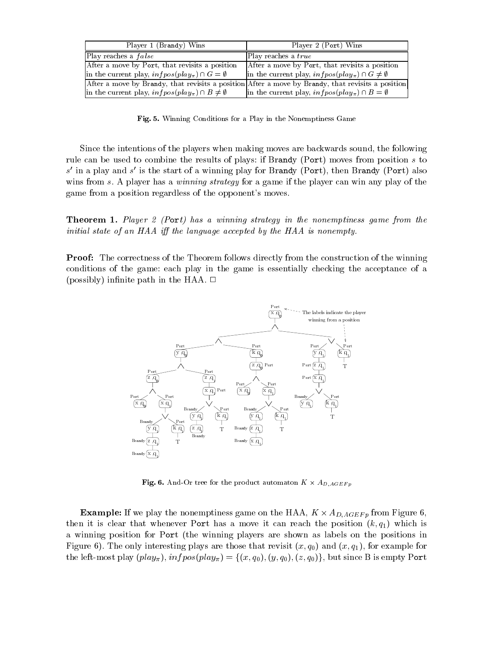| Player 1 (Brandy) Wins                                          | Player 2 (Port) Wins                                                                              |
|-----------------------------------------------------------------|---------------------------------------------------------------------------------------------------|
| Play reaches a <i>false</i>                                     | Play reaches a true                                                                               |
| After a move by Port, that revisits a position                  | After a move by Port, that revisits a position                                                    |
| in the current play, $infpos(play_{\pi}) \cap G = \emptyset$    | in the current play, $infpos(play_{\pi}) \cap G \neq \emptyset$                                   |
|                                                                 | After a move by Brandy, that revisits a position After a move by Brandy, that revisits a position |
| in the current play, $infpos(play_{\pi}) \cap B \neq \emptyset$ | in the current play, $infoos(play_{\pi}) \cap B = \emptyset$                                      |

Fig. 5. Winning Conditions for a Play in the Nonemptiness Game

Since the intentions of the players when making moves are backwards sound, the following rule can be used to combine the results of plays: if Brandy (Port) moves from position s to  $s$  in a play and  $s$  is the start of a winning play for Brandy (Port), then Brandy (Port) also wins from s. A player has a *winning strategy* for a game if the player can win any play of the game from a position regardless of the opponent's moves.

**Theorem 1.** Player 2 (Port) has a winning strategy in the nonemptiness game from the initial state of an HAA iff the language accepted by the HAA is nonempty.

Proof: The correctness of the Theorem follows directly from the construction of the winning conditions of the game: each play in the game is essentially checking the acceptance of a (possibly) infinite path in the HAA.  $\Box$ 



**r** ig. **o**. And-Or tree for the product automaton  $K \times A_{D,AGEF p}$ 

**Example:** If we play the nonemptiness game on the HAA,  $K \times A_{D,AGEFp}$  from Figure 0, then it is clear that whenever Port has a move it can reach the position  $(k, q_1)$  which is a winning position for Port (the winning players are shown as labels on the positions in Figure 6). The only interesting plays are those that revisit  $(x, q_0)$  and  $(x, q_1)$ , for example for the left-most play  $(\text{play}_{\pi})$ ,  $\text{infos}(\text{play}_{\pi}) = \{(x, q_0), (y, q_0), (z, q_0)\}\)$ , but since B is empty Port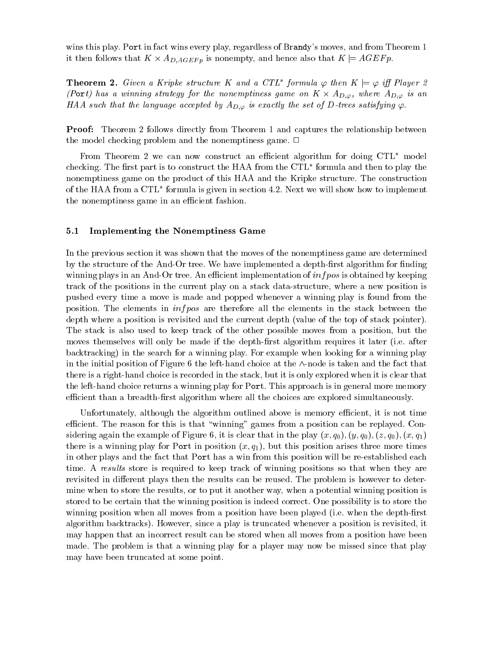wins this play. Port in fact wins every play, regardless of Brandy's moves, and from Theorem 1 it then follows that  $K \times A_{D,AGEFP}$  is nonempty, and hence also that  $K \vDash AGEFP$ .

**Theorem 2.** Given a Kripke structure K and a CIL jormula  $\varphi$  then  $K \models \varphi$  iff Player 2 (Port) has a winning strategy for the nonemptiness game on  $K$   $\times$   $A_{D,\varphi},$  where  $A_{D,\varphi}$  is an HAA such that the language accepted by  $A_{D,\varphi}$  is exactly the set of D-trees satisfying  $\varphi$ .

**Proof:** Theorem 2 follows directly from Theorem 1 and captures the relationship between the model checking problem and the nonemptiness game.  $\Box$ 

From Theorem 2 we can now construct an efficient algorithm for doing  $\text{CTL}^*$  model checking. The first part is to construct the HAA from the CTL formula and then to play the  $\,$ nonemptiness game on the product of this HAA and the Kripke structure. The construction of the HAA from a  $\circ$ 1 L -formula is given in section 4.2. Next we will show how to implement the nonemptiness game in an efficient fashion.

### 5.1 Implementing the Nonemptiness Game

In the previous section it was shown that the moves of the nonemptiness game are determined by the structure of the And-Or tree. We have implemented a depth-first algorithm for finding winning plays in an And-Or tree. An efficient implementation of  $\inf pos$  is obtained by keeping track of the positions in the current play on a stack data-structure, where a new position is pushed every time a move is made and popped whenever a winning play is found from the position. The elements in inf pos are therefore all the elements in the stack between the depth where a position is revisited and the current depth (value of the top of stack pointer). The stack is also used to keep track of the other possible moves from a position, but the moves themselves will only be made if the depth-first algorithm requires it later (i.e. after backtracking) in the search for a winning play. For example when looking for a winning play in the initial position of Figure  $6$  the left-hand choice at the  $\wedge$ -node is taken and the fact that there is a right-hand choice is recorded in the stack, but it is only explored when it is clear that the left-hand choice returns a winning play for Port. This approach is in general more memory efficient than a breadth-first algorithm where all the choices are explored simultaneously.

Unfortunately, although the algorithm outlined above is memory efficient, it is not time efficient. The reason for this is that "winning" games from a position can be replayed. Considering again the example of Figure 6, it is clear that in the play  $(x, q_0)$ ,  $(y, q_0)$ ,  $(z, q_0)$ ,  $(x, q_1)$ there is a winning play for Port in position  $(x, q_1)$ , but this position arises three more times in other plays and the fact that Port has a win from this position will be re-established each time. A results store is required to keep track of winning positions so that when they are revisited in different plays then the results can be reused. The problem is however to determine when to store the results, or to put it another way, when a potential winning position is stored to be certain that the winning position is indeed correct. One possibility is to store the winning position when all moves from a position have been played (i.e. when the depth-first algorithm backtracks). However, since a play is truncated whenever a position is revisited, it may happen that an incorrect result can be stored when all moves from a position have been made. The problem is that a winning play for a player may now be missed since that play may have been truncated at some point.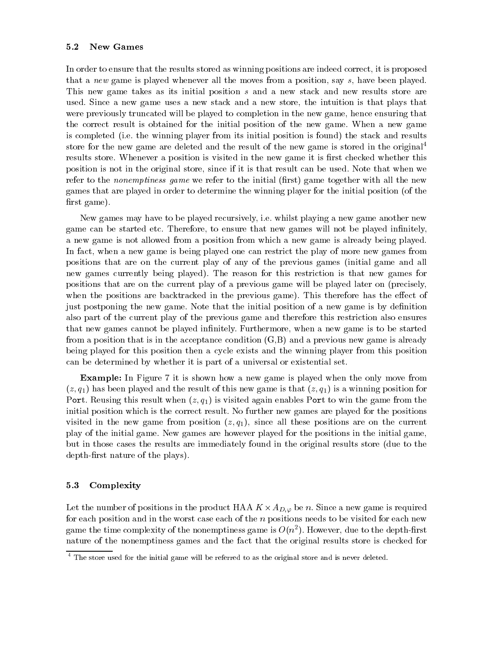#### $5.2$ New Games

In order to ensure that the results stored as winning positions are indeed correct, it is proposed that a new game is played whenever all the moves from a position, say s, have been played. This new game takes as its initial position s and a new stack and new results store are used. Since a new game uses a new stack and a new store, the intuition is that plays that were previously truncated will be played to completion in the new game, hence ensuring that the correct result is obtained for the initial position of the new game. When a new game is completed (i.e. the winning player from its initial position is found) the stack and results store for the new game are deleted and the result of the new game is stored in the original<sup>4</sup> results store. Whenever a position is visited in the new game it is first checked whether this position is not in the original store, since if it is that result can be used. Note that when we refer to the *nonemptiness game* we refer to the initial (first) game together with all the new games that are played in order to determine the winning player for the initial position (of the first game).

New games may have to be played recursively, i.e. whilst playing a new game another new game can be started etc. Therefore, to ensure that new games will not be played innitely, a new game is not allowed from a position from which a new game is already being played. In fact, when a new game is being played one can restrict the play of more new games from positions that are on the current play of any of the previous games (initial game and all new games currently being played). The reason for this restriction is that new games for positions that are on the current play of a previous game will be played later on (precisely, when the positions are backtracked in the previous game). This therefore has the effect of just postponing the new game. Note that the initial position of a new game is by definition also part of the current play of the previous game and therefore this restriction also ensures that new games cannot be played infinitely. Furthermore, when a new game is to be started from a position that is in the acceptance condition  $(G, B)$  and a previous new game is already being played for this position then a cycle exists and the winning player from this position can be determined by whether it is part of a universal or existential set.

Example: In Figure 7 it is shown how a new game is played when the only move from  $(z, q_1)$  has been played and the result of this new game is that  $(z, q_1)$  is a winning position for Port. Reusing this result when  $(z, q_1)$  is visited again enables Port to win the game from the initial position which is the correct result. No further new games are played for the positions visited in the new game from position  $(z, q_1)$ , since all these positions are on the current play of the initial game. New games are however played for the positions in the initial game, but in those cases the results are immediately found in the original results store (due to the depth-first nature of the plays).

### 5.3 Complexity

Let the number of positions in the product HAA  $\Lambda \times A_{D,\varphi}$  be n. Since a new game is required for each position and in the worst case each of the n positions needs to be visited for each new game the time complexity of the nonemptiness game is  $O(n^2)$ . However, due to the depth-hrst nature of the nonemptiness games and the fact that the original results store is checked for

 $^\circ$  The store used for the initial game will be referred to as the original store and is never deleted.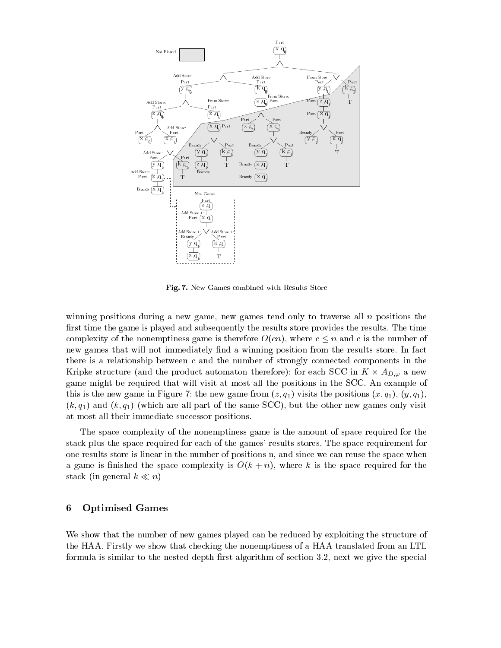

Fig. 7. New Games combined with Results Store

winning positions during a new game, new games tend only to traverse all  $n$  positions the first time the game is played and subsequently the results store provides the results. The time complexity of the nonemptiness game is therefore  $O(cn)$ , where  $c \leq n$  and c is the number of new games that will not immediately find a winning position from the results store. In fact there is a relationship between  $c$  and the number of strongly connected components in the Kripke structure (and the product automaton therefore): for each SCC in  $K \times A_{D,\varphi}$  a new game might be required that will visit at most all the positions in the SCC. An example of this is the new game in Figure 7: the new game from  $(z, q_1)$  visits the positions  $(x, q_1)$ ,  $(y, q_1)$ ,  $(k, q_1)$  and  $(k, q_1)$  (which are all part of the same SCC), but the other new games only visit at most all their immediate successor positions.

The space complexity of the nonemptiness game is the amount of space required for the stack plus the space required for each of the games' results stores. The space requirement for one results store is linear in the number of positions n, and since we can reuse the space when a game is finished the space complexity is  $O(k + n)$ , where k is the space required for the stack (in general  $k \ll n$ )

# 6 Optimised Games

We show that the number of new games played can be reduced by exploiting the structure of the HAA. Firstly we show that checking the nonemptiness of a HAA translated from an LTL formula is similar to the nested depth-first algorithm of section 3.2, next we give the special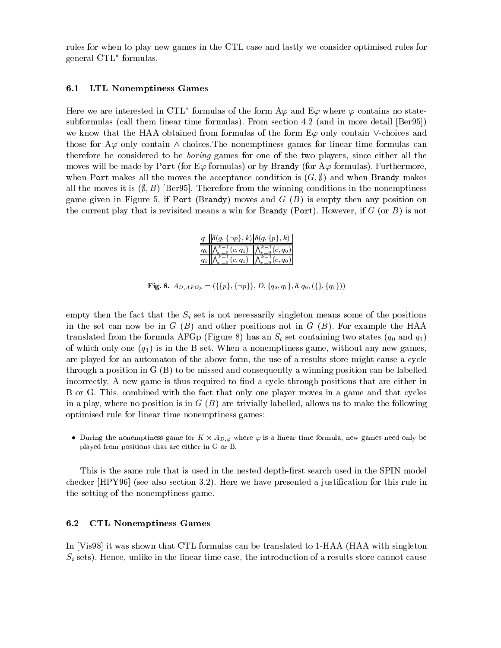rules for when to play new games in the CTL case and lastly we consider optimised rules for general CTL formulas.

### 6.1 LTL Nonemptiness Games

Here we are interested in CTL formulas of the form A $\varphi$  and E $\varphi$  where  $\varphi$  contains no statesubformulas (call them linear time formulas). From section 4.2 (and in more detail [Ber95]) we know that the HAA obtained from formulas of the form  $E\varphi$  only contain  $\vee$ -choices and those for  $A\varphi$  only contain  $\wedge$ -choices. The nonemptiness games for linear time formulas can therefore be considered to be boring games for one of the two players, since either all the moves will be made by Port (for E $\varphi$  formulas) or by Brandy (for A $\varphi$  formulas). Furthermore, when Port makes all the moves the acceptance condition is  $(G, \emptyset)$  and when Brandy makes all the moves it is  $(\emptyset, B)$  [Ber95]. Therefore from the winning conditions in the nonemptiness game given in Figure 5, if Port (Brandy) moves and  $G(B)$  is empty then any position on the current play that is revisited means a win for Brandy (Port). However, if  $G$  (or  $B$ ) is not

| $q    \delta(q, \{\neg p\}, k)   \delta(q, \{p\}, k)$                                       |  |
|---------------------------------------------------------------------------------------------|--|
| $q_0$ $\left \bigwedge_{c=0}^{k-1}(c,q_1)\right  \left \bigwedge_{c=0}^{k-1}(c,q_0)\right $ |  |
| $q_1\ \bigwedge_{c=0}^{k-1}(c,q_1)\ \bigwedge_{c=0}^{k-1}(c,q_0)\ $                         |  |

**Fig. 8.**  $A_{D,AFG_p} = (\{\{p\}, \{\neg p\}\}, D, \{q_0, q_1\}, \delta, q_0, (\{\}, \{q_1\}))$ 

empty then the fact that the  $S_i$  set is not necessarily singleton means some of the positions in the set can now be in  $G(B)$  and other positions not in  $G(B)$ . For example the HAA translated from the formula AFGp (Figure 8) has an  $S_i$  set containing two states  $(q_0 \text{ and } q_1)$ of which only one  $(q_1)$  is in the B set. When a nonemptiness game, without any new games, are played for an automaton of the above form, the use of a results store might cause a cycle through a position in G (B) to be missed and consequently a winning position can be labelled incorrectly. A new game is thus required to find a cycle through positions that are either in B or G. This, combined with the fact that only one player moves in a game and that cycles in a play, where no position is in  $G(B)$  are trivially labelled, allows us to make the following optimised rule for linear time nonemptiness games:

 $\bullet$  During the nonemptiness game for K  $\times$  A<sub>D; $\varphi$ </sub> where  $\varphi$  is a linear time formula, new games need only be played from positions that are either in G or B.

This is the same rule that is used in the nested depth-first search used in the SPIN model checker  $[HPY96]$  (see also section 3.2). Here we have presented a justification for this rule in the setting of the nonemptiness game.

#### $6.2$ 6.2 CTL Nonemptiness Games

In [Vis98] it was shown that CTL formulas can be translated to 1-HAA (HAA with singleton  $S_i$  sets). Hence, unlike in the linear time case, the introduction of a results store cannot cause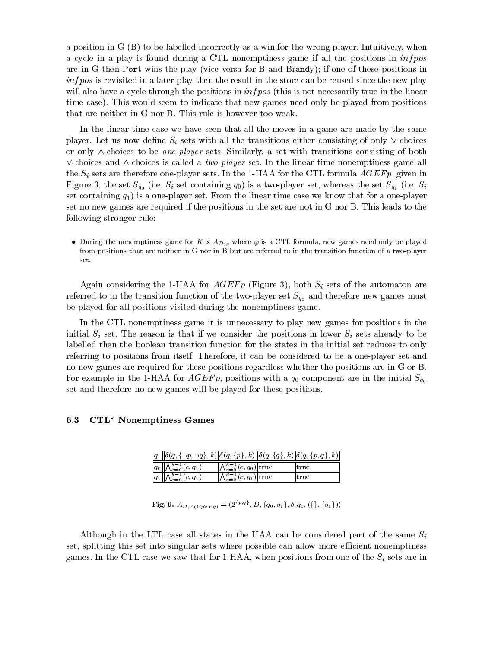a position in G (B) to be labelled incorrectly as a win for the wrong player. Intuitively, when a cycle in a play is found during a CTL nonemptiness game if all the positions in  $infoos$ are in G then Port wins the play (vice versa for B and Brandy); if one of these positions in  $info$  is revisited in a later play then the result in the store can be reused since the new play will also have a cycle through the positions in  $infoos$  (this is not necessarily true in the linear time case). This would seem to indicate that new games need only be played from positions that are neither in G nor B. This rule is however too weak.

In the linear time case we have seen that all the moves in a game are made by the same player. Let us now define  $S_i$  sets with all the transitions either consisting of only  $\vee$ -choices or only  $\wedge$ -choices to be *one-player* sets. Similarly, a set with transitions consisting of both  $\vee$ -choices and  $\wedge$ -choices is called a *two-player* set. In the linear time nonemptiness game all the  $S_i$  sets are therefore one-player sets. In the 1-HAA for the CTL formula  $AGEFP$ , given in Figure 3, the set  $S_{q_0}$  (i.e.  $S_i$  set containing  $q_0$ ) is a two-player set, whereas the set  $S_{q_1}$  (i.e.  $S_i$ set containing  $q_1$ ) is a one-player set. From the linear time case we know that for a one-player set no new games are required if the positions in the set are not in G nor B. This leads to the following stronger rule:

 $\bullet$  During the nonemptiness game for K  $\times$  A<sub>D,  $\varphi$ </sub> where  $\varphi$  is a CTL formula, new games need only be played from positions that are neither in G nor in B but are referred to in the transition function of a two-player set.

Again considering the 1-HAA for  $AGE F p$  (Figure 3), both  $S_i$  sets of the automaton are referred to in the transition function of the two-player set  $S_{q_0}$  and therefore new games must be played for all positions visited during the nonemptiness game.

In the CTL nonemptiness game it is unnecessary to play new games for positions in the initial  $S_i$  set. The reason is that if we consider the positions in lower  $S_i$  sets already to be labelled then the boolean transition function for the states in the initial set reduces to only referring to positions from itself. Therefore, it can be considered to be a one-player set and no new games are required for these positions regardless whether the positions are in G or B. For example in the 1-HAA for  $AGEFP$ , positions with a  $q_0$  component are in the initial  $S_{q_0}$ set and therefore no new games will be played for these positions.

### 6.3 CTL<sup>\*</sup> Nonemptiness Games

| $q \ \delta(q, \{\neg p, \neg q\}, k)  \delta(q, \{p\}, k)  \delta(q, \{q\}, k)  \delta(q, \{p, q\}, k) $ |                                      |      |  |
|-----------------------------------------------------------------------------------------------------------|--------------------------------------|------|--|
| $\boxed{q_0 \bigwedge_{c=0}^{k-1}(c,q_1)}$                                                                | $\bigwedge_{c=0}^{k-1} (c,q_0)$ true | true |  |
| $q_1 \bigwedge_{c=0}^{k-1}(c,q_1)$                                                                        | $\bigwedge_{c=0}^{k-1} (c,q_1)$ true | true |  |

### ${\bf Fig. 9.}~A_{D,A(Gp\vee Fq)} = (2^{\{p,q\}},D,\{q_0,q_1\},\delta,q_0, (\{\},\{q_1\}))$

Although in the LTL case all states in the HAA can be considered part of the same  $S_i$ set, splitting this set into singular sets where possible can allow more efficient nonemptiness games. In the CTL case we saw that for 1-HAA, when positions from one of the  $S_i$  sets are in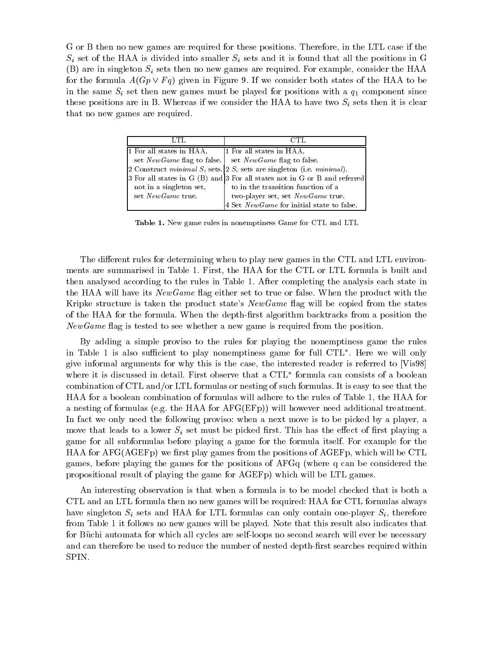G or B then no new games are required for these positions. Therefore, in the LTL case if the  $S_i$  set of the HAA is divided into smaller  $S_i$  sets and it is found that all the positions in G (B) are in singleton  $S_i$  sets then no new games are required. For example, consider the HAA for the formula  $A(Gp \vee Fq)$  given in Figure 9. If we consider both states of the HAA to be in the same  $S_i$  set then new games must be played for positions with a  $q_1$  component since these positions are in B. Whereas if we consider the HAA to have two  $S_i$  sets then it is clear that no new games are required.

| LTL                      |                                                                                   |
|--------------------------|-----------------------------------------------------------------------------------|
| 1 For all states in HAA, | 1 For all states in HAA,                                                          |
|                          | set New Game flag to false. Set New Game flag to false.                           |
|                          | 2 Construct minimal $S_i$ sets. 2 $S_i$ sets are singleton (i.e. minimal).        |
|                          | $ 3$ For all states in G $(B)$ and $ 3$ For all states not in G or B and referred |
| not in a singleton set,  | to in the transition function of a                                                |
| set New Game true.       | two-player set, set NewGame true.                                                 |
|                          | 4 Set NewGame for initial state to false.                                         |

Table 1. New game rules in nonemptiness Game for CTL and LTL

The different rules for determining when to play new games in the CTL and LTL environments are summarised in Table 1. First, the HAA for the CTL or LTL formula is built and then analysed according to the rules in Table 1. After completing the analysis each state in the HAA will have its *NewGame* flag either set to true or false. When the product with the Kripke structure is taken the product state's  $NewGame$  flag will be copied from the states of the HAA for the formula. When the depth-first algorithm backtracks from a position the  $NewGame$  flag is tested to see whether a new game is required from the position.

By adding a simple proviso to the rules for playing the nonemptiness game the rules in Table 1 is also sufficient to play nonemptiness game for full  $C1L$  . Here we will only give informal arguments for why this is the case, the interested reader is referred to [Vis98] where it is discussed in detail. First observe that a CTL formula can consists of a boolean combination of CTL and/or LTL formulas or nesting of such formulas. It is easy to see that the HAA for a boolean combination of formulas will adhere to the rules of Table 1, the HAA for a nesting of formulas (e.g. the HAA for AFG(EFp)) will however need additional treatment. In fact we only need the following proviso: when a next move is to be picked by a player, a move that leads to a lower  $S_i$  set must be picked first. This has the effect of first playing a game for all subformulas before playing a game for the formula itself. For example for the  $HAA$  for  $AFG(AGEF<sub>p</sub>)$  we first play games from the positions of  $AGEF<sub>p</sub>$ , which will be CTL games, before playing the games for the positions of AFGq (where q can be considered the propositional result of playing the game for AGEFp) which will be LTL games.

An interesting observation is that when a formula is to be model checked that is both a CTL and an LTL formula then no new games will be required: HAA for CTL formulas always have singleton  $S_i$  sets and HAA for LTL formulas can only contain one-player  $S_i$ , therefore from Table 1 it follows no new games will be played. Note that this result also indicates that for Buchi automata for which all cycles are self-loops no second search will ever be necessary and can therefore be used to reduce the number of nested depth-first searches required within SPIN.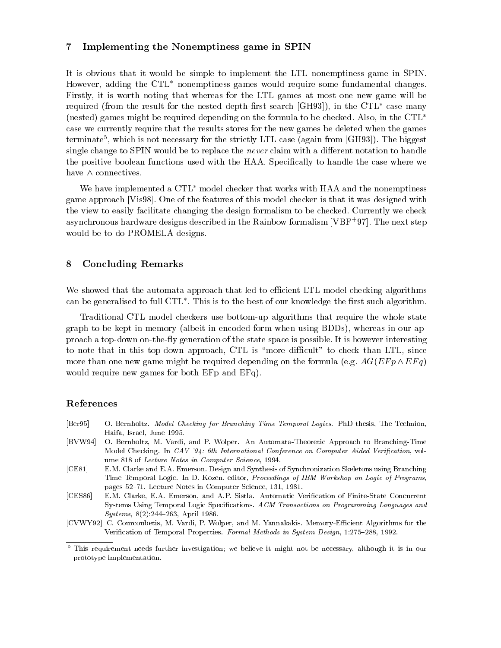#### $\overline{7}$ Implementing the Nonemptiness game in SPIN

It is obvious that it would be simple to implement the LTL nonemptiness game in SPIN. However, adding the  $\text{CTL}^*$  nonemptiness games would require some fundamental changes. Firstly, it is worth noting that whereas for the LTL games at most one new game will be required (from the result for the nested depth-first search  $[GH93]$ ), in the  $CTL^*$  case many (nested) games might be required depending on the formula to be checked. Also, in the CTL case we currently require that the results stores for the new games be deleted when the games  $t$ erminate $\cdot$ , which is not necessary for the strictly LTL case (again from [GH93]). The biggest single change to SPIN would be to replace the *never* claim with a different notation to handle the positive boolean functions used with the HAA. Specifically to handle the case where we have  $\wedge$  connectives.

We have implemented a  $\text{CTL}^*$  model checker that works with HAA and the nonemptiness game approach [Vis98]. One of the features of this model checker is that it was designed with the view to easily facilitate changing the design formalism to be checked. Currently we check asynchronous hardware designs described in the Rainbow formalism [VBF<sup>+</sup> 97]. The next step would be to do PROMELA designs.

# 8 Concluding Remarks

We showed that the automata approach that led to efficient LTL model checking algorithms  $\rm{can}$  be generalised to full  $\rm{C1L}$  . This is to the best of our knowledge the first such algorithm.

Traditional CTL model checkers use bottom-up algorithms that require the whole state graph to be kept in memory (albeit in encoded form when using BDDs), whereas in our approach a top-down on-they generation of the state space is possible. It is however interesting to note that in this top-down approach, CTL is "more difficult" to check than LTL, since more than one new game might be required depending on the formula (e.g.  $AG(EF p \wedge EF q)$ ) would require new games for both EFp and EFq).

# References

- [Ber95] O. Bernholtz. Model Checking for Branching Time Temporal Logics. PhD thesis, The Technion, Haifa, Israel, June 1995.
- [BVW94] O. Bernholtz, M. Vardi, and P. Wolper. An Automata-Theoretic Approach to Branching-Time Model Checking. In CAV '94: 6th International Conference on Computer Aided Verification, volume 818 of Lecture Notes in Computer Science, 1994.
- [CE81] E.M. Clarke and E.A. Emerson. Design and Synthesis of Synchronization Skeletons using Branching Time Temporal Logic. In D. Kozen, editor, Proceedings of IBM Workshop on Logic of Programs, pages 52-71. Lecture Notes in Computer Science, 131, 1981.
- [CES86] E.M. Clarke, E.A. Emerson, and A.P. Sistla. Automatic Verification of Finite-State Concurrent Systems Using Temporal Logic Specifications. ACM Transactions on Programming Languages and  $Systems, 8(2):244–263, April 1986.$
- [CVWY92] C. Courcoubetis, M. Vardi, P. Wolper, and M. Yannakakis. Memory-Efficient Algorithms for the Verification of Temporal Properties. Formal Methods in System Design, 1:275-288, 1992.

<sup>5</sup> This requirement needs further investigation; we believe it might not be necessary, although it is in our prototype implementation.